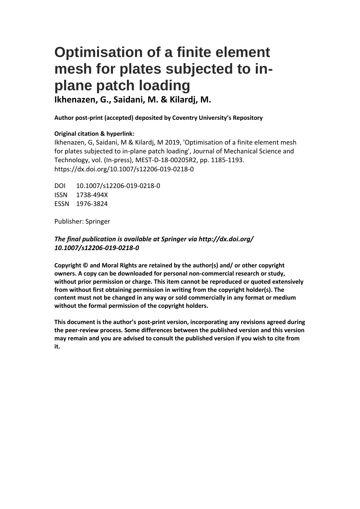# **Optimisation of a finite element mesh for plates subjected to inplane patch loading**

**Ikhenazen, G., Saidani, M. & Kilardj, M.** 

# **Author post-print (accepted) deposited by Coventry University's Repository**

## **Original citation & hyperlink:**

Ikhenazen, G, Saidani, M & Kilardj, M 2019, 'Optimisation of a finite element mesh for plates subjected to in-plane patch loading', Journal of Mechanical Science and Technology, vol. (In-press), MEST-D-18-00205R2, pp. 1185-1193. https://dx.doi.org/10.1007/s12206-019-0218-0

DOI 10.1007/s12206-019-0218-0 ISSN 1738-494X ESSN 1976-3824

Publisher: Springer

# *The final publication is available at Springer via http://dx.doi.org/ 10.1007/s12206-019-0218-0*

**Copyright © and Moral Rights are retained by the author(s) and/ or other copyright owners. A copy can be downloaded for personal non-commercial research or study, without prior permission or charge. This item cannot be reproduced or quoted extensively from without first obtaining permission in writing from the copyright holder(s). The content must not be changed in any way or sold commercially in any format or medium without the formal permission of the copyright holders.** 

**This document is the author's post-print version, incorporating any revisions agreed during the peer-review process. Some differences between the published version and this version may remain and you are advised to consult the published version if you wish to cite from it.**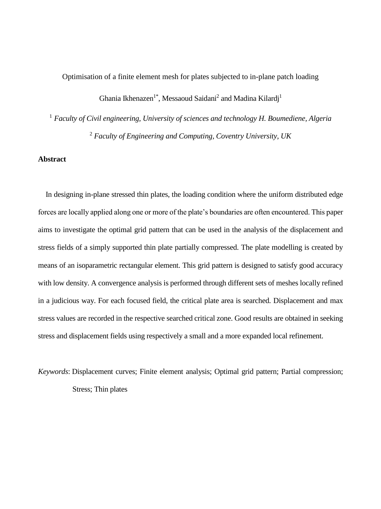Optimisation of a finite element mesh for plates subjected to in-plane patch loading

Ghania Ikhenazen<sup>1\*</sup>, Messaoud Saidani<sup>2</sup> and Madina Kilardj<sup>1</sup>

<sup>1</sup> *Faculty of Civil engineering, University of sciences and technology H. Boumediene, Algeria* <sup>2</sup> *Faculty of Engineering and Computing, Coventry University, UK*

# **Abstract**

In designing in-plane stressed thin plates, the loading condition where the uniform distributed edge forces are locally applied along one or more of the plate's boundaries are often encountered. This paper aims to investigate the optimal grid pattern that can be used in the analysis of the displacement and stress fields of a simply supported thin plate partially compressed. The plate modelling is created by means of an isoparametric rectangular element. This grid pattern is designed to satisfy good accuracy with low density. A convergence analysis is performed through different sets of meshes locally refined in a judicious way. For each focused field, the critical plate area is searched. Displacement and max stress values are recorded in the respective searched critical zone. Good results are obtained in seeking stress and displacement fields using respectively a small and a more expanded local refinement.

*Keywords*: Displacement curves; Finite element analysis; Optimal grid pattern; Partial compression; Stress; Thin plates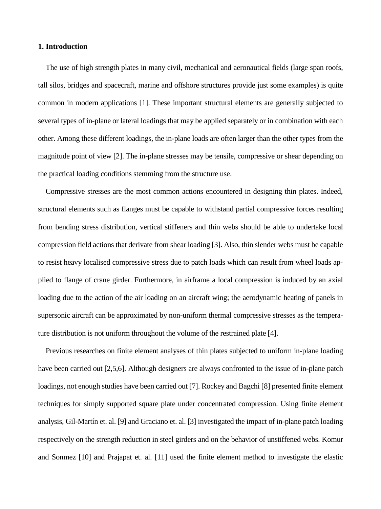## **1. Introduction**

The use of high strength plates in many civil, mechanical and aeronautical fields (large span roofs, tall silos, bridges and spacecraft, marine and offshore structures provide just some examples) is quite common in modern applications [1]. These important structural elements are generally subjected to several types of in-plane or lateral loadings that may be applied separately or in combination with each other. Among these different loadings, the in-plane loads are often larger than the other types from the magnitude point of view [2]. The in-plane stresses may be tensile, compressive or shear depending on the practical loading conditions stemming from the structure use.

Compressive stresses are the most common actions encountered in designing thin plates. Indeed, structural elements such as flanges must be capable to withstand partial compressive forces resulting from bending stress distribution, vertical stiffeners and thin webs should be able to undertake local compression field actions that derivate from shear loading [3]. Also, thin slender webs must be capable to resist heavy localised compressive stress due to patch loads which can result from wheel loads applied to flange of crane girder. Furthermore, in airframe a local compression is induced by an axial loading due to the action of the air loading on an aircraft wing; the aerodynamic heating of panels in supersonic aircraft can be approximated by non-uniform thermal compressive stresses as the temperature distribution is not uniform throughout the volume of the restrained plate [4].

Previous researches on finite element analyses of thin plates subjected to uniform in-plane loading have been carried out [2,5,6]. Although designers are always confronted to the issue of in-plane patch loadings, not enough studies have been carried out [7]. Rockey and Bagchi [8] presented finite element techniques for simply supported square plate under concentrated compression. Using finite element analysis, Gil-Martín et. al. [9] and Graciano et. al. [3] investigated the impact of in-plane patch loading respectively on the strength reduction in steel girders and on the behavior of unstiffened webs. Komur and Sonmez [10] and Prajapat et. al. [11] used the finite element method to investigate the elastic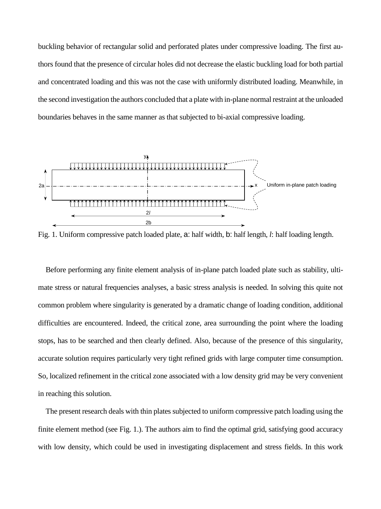buckling behavior of rectangular solid and perforated plates under compressive loading. The first authors found that the presence of circular holes did not decrease the elastic buckling load for both partial and concentrated loading and this was not the case with uniformly distributed loading. Meanwhile, in the second investigation the authors concluded that a plate with in-plane normal restraint at the unloaded boundaries behaves in the same manner as that subjected to bi-axial compressive loading.



Fig. 1. Uniform compressive patch loaded plate, a: half width, b: half length, *l*: half loading length.

Before performing any finite element analysis of in-plane patch loaded plate such as stability, ultimate stress or natural frequencies analyses, a basic stress analysis is needed. In solving this quite not common problem where singularity is generated by a dramatic change of loading condition, additional difficulties are encountered. Indeed, the critical zone, area surrounding the point where the loading stops, has to be searched and then clearly defined. Also, because of the presence of this singularity, accurate solution requires particularly very tight refined grids with large computer time consumption. So, localized refinement in the critical zone associated with a low density grid may be very convenient in reaching this solution.

The present research deals with thin plates subjected to uniform compressive patch loading using the finite element method (see Fig. 1.). The authors aim to find the optimal grid, satisfying good accuracy with low density, which could be used in investigating displacement and stress fields. In this work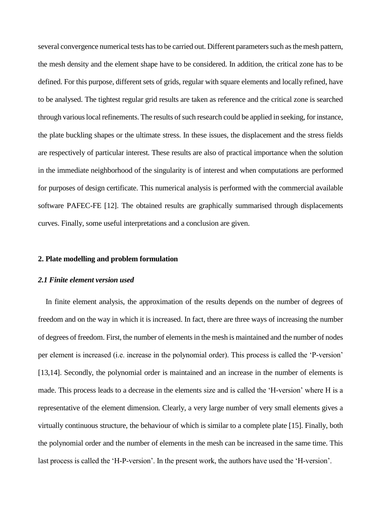several convergence numerical tests has to be carried out. Different parameters such as the mesh pattern, the mesh density and the element shape have to be considered. In addition, the critical zone has to be defined. For this purpose, different sets of grids, regular with square elements and locally refined, have to be analysed. The tightest regular grid results are taken as reference and the critical zone is searched through various local refinements. The results of such research could be applied in seeking, for instance, the plate buckling shapes or the ultimate stress. In these issues, the displacement and the stress fields are respectively of particular interest. These results are also of practical importance when the solution in the immediate neighborhood of the singularity is of interest and when computations are performed for purposes of design certificate. This numerical analysis is performed with the commercial available software PAFEC-FE [12]. The obtained results are graphically summarised through displacements curves. Finally, some useful interpretations and a conclusion are given.

#### **2. Plate modelling and problem formulation**

#### *2.1 Finite element version used*

In finite element analysis, the approximation of the results depends on the number of degrees of freedom and on the way in which it is increased. In fact, there are three ways of increasing the number of degrees of freedom. First, the number of elements in the mesh is maintained and the number of nodes per element is increased (i.e. increase in the polynomial order). This process is called the 'P-version' [13,14]. Secondly, the polynomial order is maintained and an increase in the number of elements is made. This process leads to a decrease in the elements size and is called the 'H-version' where H is a representative of the element dimension. Clearly, a very large number of very small elements gives a virtually continuous structure, the behaviour of which is similar to a complete plate [15]. Finally, both the polynomial order and the number of elements in the mesh can be increased in the same time. This last process is called the 'H-P-version'. In the present work, the authors have used the 'H-version'.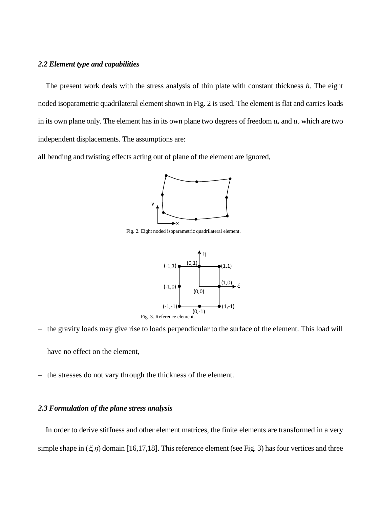## *2.2 Element type and capabilities*

The present work deals with the stress analysis of thin plate with constant thickness *h.* The eight noded isoparametric quadrilateral element shown in Fig. 2 is used. The element is flat and carries loads in its own plane only. The element has in its own plane two degrees of freedom  $u_x$  and  $u_y$  which are two independent displacements. The assumptions are:

all bending and twisting effects acting out of plane of the element are ignored,



Fig. 2. Eight noded isoparametric quadrilateral element.



− the gravity loads may give rise to loads perpendicular to the surface of the element. This load will

have no effect on the element,

− the stresses do not vary through the thickness of the element.

## *2.3 Formulation of the plane stress analysis*

In order to derive stiffness and other element matrices, the finite elements are transformed in a very simple shape in  $(\xi, \eta)$  domain [16,17,18]. This reference element (see Fig. 3) has four vertices and three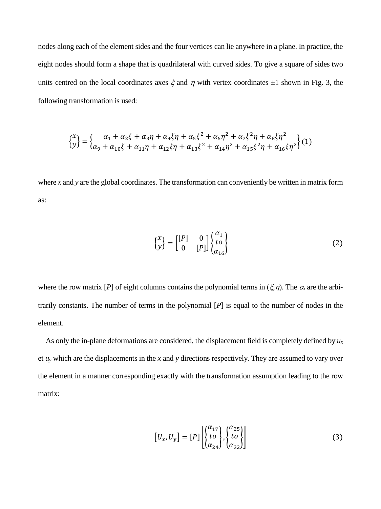nodes along each of the element sides and the four vertices can lie anywhere in a plane. In practice, the eight nodes should form a shape that is quadrilateral with curved sides. To give a square of sides two units centred on the local coordinates axes  $\xi$  and  $\eta$  with vertex coordinates  $\pm 1$  shown in Fig. 3, the following transformation is used:

$$
\begin{cases} x \\ y \end{cases} = \begin{cases} \alpha_1 + \alpha_2 \xi + \alpha_3 \eta + \alpha_4 \xi \eta + \alpha_5 \xi^2 + \alpha_6 \eta^2 + \alpha_7 \xi^2 \eta + \alpha_8 \xi \eta^2 \\ \alpha_9 + \alpha_{10} \xi + \alpha_{11} \eta + \alpha_{12} \xi \eta + \alpha_{13} \xi^2 + \alpha_{14} \eta^2 + \alpha_{15} \xi^2 \eta + \alpha_{16} \xi \eta^2 \end{cases} (1)
$$

where *x* and *y* are the global coordinates. The transformation can conveniently be written in matrix form as:

$$
\begin{Bmatrix} x \\ y \end{Bmatrix} = \begin{bmatrix} [P] & 0 \\ 0 & [P] \end{bmatrix} \begin{Bmatrix} \alpha_1 \\ to \\ \alpha_{16} \end{Bmatrix}
$$
 (2)

where the row matrix [*P*] of eight columns contains the polynomial terms in  $(\xi, \eta)$ . The  $\alpha_i$  are the arbitrarily constants. The number of terms in the polynomial [*P*] is equal to the number of nodes in the element.

As only the in-plane deformations are considered, the displacement field is completely defined by *u<sup>x</sup>* et  $u<sub>y</sub>$  which are the displacements in the *x* and *y* directions respectively. They are assumed to vary over the element in a manner corresponding exactly with the transformation assumption leading to the row matrix:

$$
\begin{bmatrix} U_x, U_y \end{bmatrix} = [P] \begin{bmatrix} \begin{Bmatrix} \alpha_{17} \\ to \\ \alpha_{24} \end{Bmatrix}, \begin{Bmatrix} \alpha_{25} \\ to \\ \alpha_{32} \end{Bmatrix} \end{bmatrix}
$$
 (3)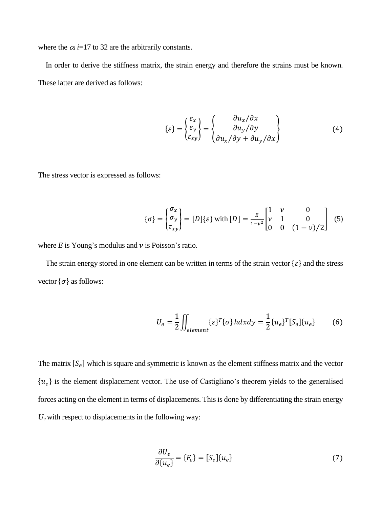where the  $\alpha_i$  *i*=17 to 32 are the arbitrarily constants.

In order to derive the stiffness matrix, the strain energy and therefore the strains must be known. These latter are derived as follows:

$$
\{\varepsilon\} = \begin{Bmatrix} \varepsilon_x \\ \varepsilon_y \\ \varepsilon_{xy} \end{Bmatrix} = \begin{Bmatrix} \frac{\partial u_x}{\partial x} \\ \frac{\partial u_y}{\partial y} \\ \frac{\partial u_x}{\partial y} + \frac{\partial u_y}{\partial x} \end{Bmatrix}
$$
(4)

The stress vector is expressed as follows:

$$
\{\sigma\} = \begin{cases} \sigma_x \\ \sigma_y \\ \tau_{xy} \end{cases} = [D]\{\varepsilon\} \text{ with } [D] = \frac{E}{1 - v^2} \begin{bmatrix} 1 & v & 0 \\ v & 1 & 0 \\ 0 & 0 & (1 - v)/2 \end{bmatrix} \tag{5}
$$

where  $E$  is Young's modulus and  $\nu$  is Poisson's ratio.

The strain energy stored in one element can be written in terms of the strain vector  $\{\varepsilon\}$  and the stress vector  $\{\sigma\}$  as follows:

$$
U_e = \frac{1}{2} \iint_{element} {\{\varepsilon\}}^T {\{\sigma\}} h dx dy = \frac{1}{2} {u_e}^T [S_e]{u_e}
$$
 (6)

The matrix  $[S_e]$  which is square and symmetric is known as the element stiffness matrix and the vector  ${u<sub>e</sub>}$  is the element displacement vector. The use of Castigliano's theorem yields to the generalised forces acting on the element in terms of displacements. This is done by differentiating the strain energy  $U_e$  with respect to displacements in the following way:

$$
\frac{\partial U_e}{\partial \{u_e\}} = \{F_e\} = [S_e]\{u_e\}
$$
\n(7)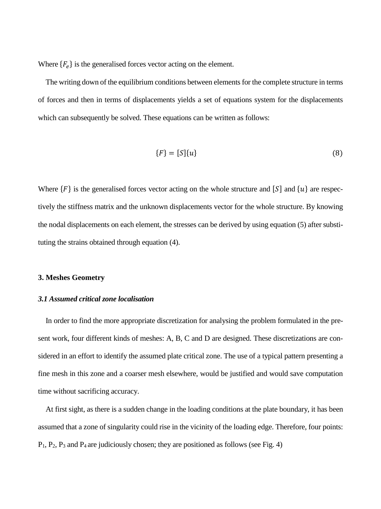Where  ${F_e}$  is the generalised forces vector acting on the element.

The writing down of the equilibrium conditions between elements for the complete structure in terms of forces and then in terms of displacements yields a set of equations system for the displacements which can subsequently be solved. These equations can be written as follows:

$$
\{F\} = [S]\{u\} \tag{8}
$$

Where  ${F}$  is the generalised forces vector acting on the whole structure and  $[S]$  and  ${u}$  are respectively the stiffness matrix and the unknown displacements vector for the whole structure. By knowing the nodal displacements on each element, the stresses can be derived by using equation (5) after substituting the strains obtained through equation (4).

## **3. Meshes Geometry**

## *3.1 Assumed critical zone localisation*

In order to find the more appropriate discretization for analysing the problem formulated in the present work, four different kinds of meshes: A, B, C and D are designed. These discretizations are considered in an effort to identify the assumed plate critical zone. The use of a typical pattern presenting a fine mesh in this zone and a coarser mesh elsewhere, would be justified and would save computation time without sacrificing accuracy.

At first sight, as there is a sudden change in the loading conditions at the plate boundary, it has been assumed that a zone of singularity could rise in the vicinity of the loading edge. Therefore, four points:  $P_1$ ,  $P_2$ ,  $P_3$  and  $P_4$  are judiciously chosen; they are positioned as follows (see Fig. 4)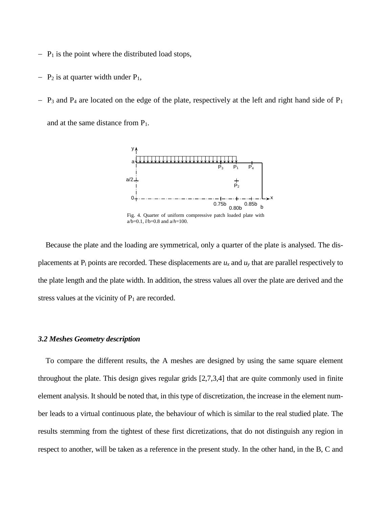- − P<sup>1</sup> is the point where the distributed load stops,
- $-$  P<sub>2</sub> is at quarter width under P<sub>1</sub>,
- $P_3$  and P<sub>4</sub> are located on the edge of the plate, respectively at the left and right hand side of P<sub>1</sub> and at the same distance from  $P_1$ .



Because the plate and the loading are symmetrical, only a quarter of the plate is analysed. The displacements at  $P_i$  points are recorded. These displacements are  $u_x$  and  $u_y$  that are parallel respectively to the plate length and the plate width. In addition, the stress values all over the plate are derived and the stress values at the vicinity of  $P_1$  are recorded.

#### *3.2 Meshes Geometry description*

To compare the different results, the A meshes are designed by using the same square element throughout the plate. This design gives regular grids [2,7,3,4] that are quite commonly used in finite element analysis. It should be noted that, in this type of discretization, the increase in the element number leads to a virtual continuous plate, the behaviour of which is similar to the real studied plate. The results stemming from the tightest of these first dicretizations, that do not distinguish any region in respect to another, will be taken as a reference in the present study. In the other hand, in the B, C and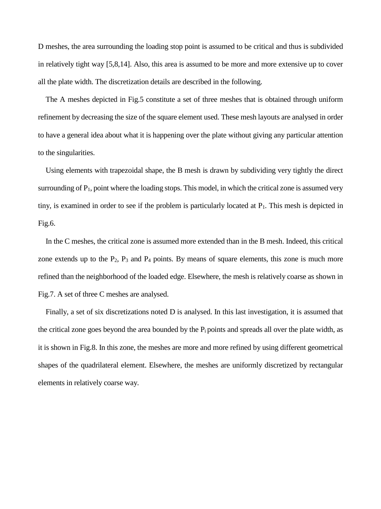D meshes, the area surrounding the loading stop point is assumed to be critical and thus is subdivided in relatively tight way [5,8,14]. Also, this area is assumed to be more and more extensive up to cover all the plate width. The discretization details are described in the following.

The A meshes depicted in Fig.5 constitute a set of three meshes that is obtained through uniform refinement by decreasing the size of the square element used. These mesh layouts are analysed in order to have a general idea about what it is happening over the plate without giving any particular attention to the singularities.

Using elements with trapezoidal shape, the B mesh is drawn by subdividing very tightly the direct surrounding of  $P_1$ , point where the loading stops. This model, in which the critical zone is assumed very tiny, is examined in order to see if the problem is particularly located at  $P_1$ . This mesh is depicted in Fig.6.

In the C meshes, the critical zone is assumed more extended than in the B mesh. Indeed, this critical zone extends up to the  $P_2$ ,  $P_3$  and  $P_4$  points. By means of square elements, this zone is much more refined than the neighborhood of the loaded edge. Elsewhere, the mesh is relatively coarse as shown in Fig.7. A set of three C meshes are analysed.

Finally, a set of six discretizations noted D is analysed. In this last investigation, it is assumed that the critical zone goes beyond the area bounded by the  $P_i$  points and spreads all over the plate width, as it is shown in Fig.8. In this zone, the meshes are more and more refined by using different geometrical shapes of the quadrilateral element. Elsewhere, the meshes are uniformly discretized by rectangular elements in relatively coarse way.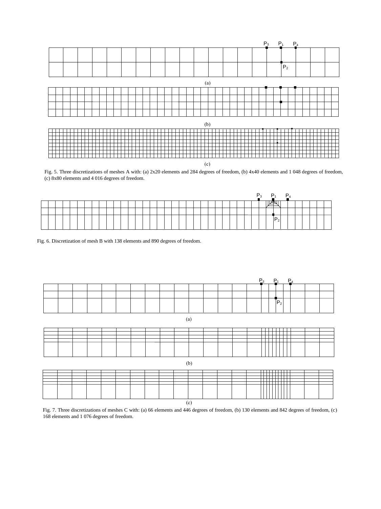

Fig. 5. Three discretizations of meshes A with: (a) 2x20 elements and 284 degrees of freedom, (b) 4x40 elements and 1 048 degrees of freedom, (c) 8x80 elements and 4 016 degrees of freedom.

|  |  |  |  |  |  |  |  |  |  |  |  |  |  | D | ໍ^ | -    |         | − |  |  |  |
|--|--|--|--|--|--|--|--|--|--|--|--|--|--|---|----|------|---------|---|--|--|--|
|  |  |  |  |  |  |  |  |  |  |  |  |  |  |   |    | mилт |         |   |  |  |  |
|  |  |  |  |  |  |  |  |  |  |  |  |  |  |   |    |      |         |   |  |  |  |
|  |  |  |  |  |  |  |  |  |  |  |  |  |  |   |    |      | $P_{2}$ |   |  |  |  |

Fig. 6. Discretization of mesh B with 138 elements and 890 degrees of freedom.

|  |  |  |  |  |  |  |  | ____ |    | __ |  |  |
|--|--|--|--|--|--|--|--|------|----|----|--|--|
|  |  |  |  |  |  |  |  | —    | __ |    |  |  |
|  |  |  |  |  |  |  |  |      |    |    |  |  |
|  |  |  |  |  |  |  |  |      |    |    |  |  |
|  |  |  |  |  |  |  |  |      |    |    |  |  |
|  |  |  |  |  |  |  |  |      |    |    |  |  |
|  |  |  |  |  |  |  |  |      |    |    |  |  |

| I |
|---|

|  |  |  |  |  | (c) |  |  |  |  |  |  |
|--|--|--|--|--|-----|--|--|--|--|--|--|

Fig. 7. Three discretizations of meshes C with: (a) 66 elements and 446 degrees of freedom, (b) 130 elements and 842 degrees of freedom, (c) 168 elements and 1 076 degrees of freedom.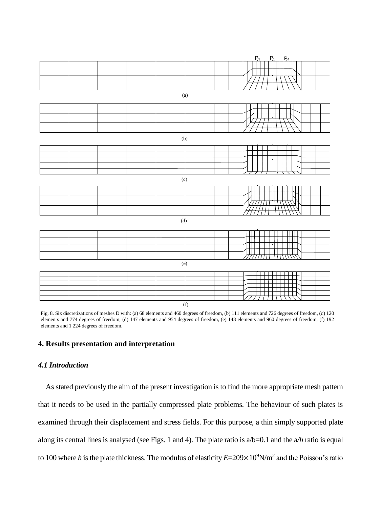

Fig. 8. Six discretizations of meshes D with: (a) 68 elements and 460 degrees of freedom, (b) 111 elements and 726 degrees of freedom, (c) 120 elements and 774 degrees of freedom, (d) 147 elements and 954 degrees of freedom, (e) 148 elements and 960 degrees of freedom, (f) 192 elements and 1 224 degrees of freedom.

# **4. Results presentation and interpretation**

# *4.1 Introduction*

As stated previously the aim of the present investigation is to find the more appropriate mesh pattern that it needs to be used in the partially compressed plate problems. The behaviour of such plates is examined through their displacement and stress fields. For this purpose, a thin simply supported plate along its central lines is analysed (see Figs. 1 and 4). The plate ratio is a/b=0.1 and the a*/h* ratio is equal to 100 where *h* is the plate thickness. The modulus of elasticity *E*=209×10<sup>9</sup>N/m<sup>2</sup> and the Poisson's ratio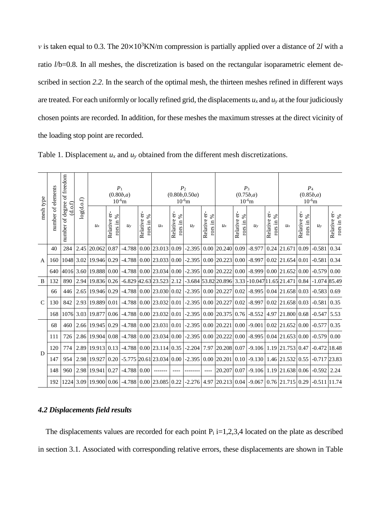*ν* is taken equal to 0.3. The 20×10<sup>3</sup>KN/m compression is partially applied over a distance of 2*l* with a ratio *l*/b=0.8. In all meshes, the discretization is based on the rectangular isoparametric element described in section *2.2*. In the search of the optimal mesh, the thirteen meshes refined in different ways are treated. For each uniformly or locally refined grid, the displacements  $u_x$  and  $u_y$  at the four judiciously chosen points are recorded. In addition, for these meshes the maximum stresses at the direct vicinity of the loading stop point are recorded.

|                | of freedom<br>number of elements<br>mesh type<br>log(d.o.f)<br>(d.o.f) |                     |           |                  | P <sub>1</sub>                 | (0.80b,a)<br>$10^{-6}$ m |                              |                                                                          | P <sub>2</sub>               | (0.80b, 0.50a)<br>$10^{-6}$ m |                                 |                      | $P_3$<br>(0.75b,a)           | $10^{-6}$ m |                              | $P_4$<br>(0.85b,a)<br>$10^{-6}$ m                                                                          |                              |                 |                             |  |  |
|----------------|------------------------------------------------------------------------|---------------------|-----------|------------------|--------------------------------|--------------------------|------------------------------|--------------------------------------------------------------------------|------------------------------|-------------------------------|---------------------------------|----------------------|------------------------------|-------------|------------------------------|------------------------------------------------------------------------------------------------------------|------------------------------|-----------------|-----------------------------|--|--|
|                |                                                                        | of degree<br>number |           | $u_{x}$          | ėŕ-<br>rors in $%$<br>Relative | $u_{v}$                  | Relative er-<br>rors in $\%$ | $u_x$                                                                    | er-<br>rors in %<br>Relative | $u_{v}$                       | er-<br>rors in $\%$<br>Relative | $u_x$                | Relative er-<br>rors in $\%$ | $u_{v}$     | Relative er-<br>℅<br>rors in | $u_{x}$                                                                                                    | Relative er-<br>℅<br>rors in | $u_{v}$         | Relative er-<br>rors in $%$ |  |  |
|                | 40                                                                     | 284                 | 2.45      | 20.062           | 0.87                           | $-4.788$                 | 0.00                         | 23.013                                                                   | 0.09                         | $-2.395$                      | 0.00                            | 20.240               | 0.09                         | $-8.977$    |                              | 0.24 21.671                                                                                                | 0.09                         | $-0.581$        | 0.34                        |  |  |
| $\overline{A}$ | 160                                                                    |                     | 1048 3.02 | 19.946 0.29      |                                |                          |                              | $-4.788$   0.00   23.033   0.00   -2.395   0.00   20.223   0.00   -8.997 |                              |                               |                                 |                      |                              |             |                              | $0.02$   21.654   0.01                                                                                     |                              | $-0.581$        | 0.34                        |  |  |
|                | 640                                                                    |                     | 4016 3.60 | 19.888 0.00      |                                |                          |                              | $-4.788$   0.00   23.034   0.00   -2.395                                 |                              |                               | 0.00                            | 20.222 0.00 -8.999   |                              |             |                              | $0.00$ 21.652 0.00                                                                                         |                              | $-0.579$        | 0.00                        |  |  |
| B              | 132                                                                    | 890                 | 2.94      | 19.836 0.26      |                                |                          |                              | $-6.829$ 42.63 23.523 2.12                                               |                              |                               |                                 |                      |                              |             |                              | $-3.684$ 53.82 20.896 3.33 - 10.047 11.65 21.471 0.84                                                      |                              | $-1.07485.49$   |                             |  |  |
|                | 66                                                                     | 446                 | 2.65      | 19.946 0.29      |                                |                          |                              | $-4.788$ 0.00 23.030 0.02                                                |                              | $-2.395$ 0.00                 |                                 | 20.227               | 0.02                         |             |                              | $-8.995 \mid 0.04 \mid 21.658 \mid 0.03$                                                                   |                              | $-0.583$ 0.69   |                             |  |  |
| $\mathcal{C}$  | 130                                                                    | 842                 | 2.93      | 19.889 0.01      |                                | $-4.788$ 0.00            |                              | 23.032 0.01                                                              |                              | $-2.395$                      | $0.00\,$                        | 20.227               | 0.02                         | $-8.997$    |                              | $0.02$ 21.658 0.03                                                                                         |                              | $-0.581$ 0.35   |                             |  |  |
|                | 168                                                                    |                     | 1076 3.03 | 19.877           | 0.06                           | $-4.788$                 | 0.00                         | 23.032 0.01                                                              |                              | $-2.395$ 0.00                 |                                 | 20.375 0.76          |                              | $-8.552$    |                              | 4.97 21.800 0.68                                                                                           |                              | $-0.547$        | 5.53                        |  |  |
|                | 68                                                                     | 460                 |           | 2.66 19.945      | 0.29                           | $-4.788$                 | 0.00                         | 23.031 0.01                                                              |                              | $-2.395$                      | 0.00                            | $20.221$ 0.00 -9.001 |                              |             |                              | $0.02$ 21.652 0.00                                                                                         |                              | $-0.577$        | 0.35                        |  |  |
|                | 111                                                                    | 726                 | 2.86      | 19.904 0.08      |                                | $-4.788$                 | 0.00                         | $\left  23.034 \right  0.00 \left  -2.395 \right  0.00$                  |                              |                               |                                 | 20.222 0.00 -8.995   |                              |             |                              | $0.04$ 21.653 0.00                                                                                         |                              | $-0.579$ 0.00   |                             |  |  |
|                | 120                                                                    | 774                 |           | 2.89 19.913 0.13 |                                |                          |                              | -4.788 0.00 23.114 0.35 -2.204 7.97 20.208 0.07                          |                              |                               |                                 |                      |                              |             |                              | $-9.106$   1.19   21.753   0.47                                                                            |                              | $-0.472$ 18.48  |                             |  |  |
| D              | 147                                                                    | 954                 |           | 2.98 19.927      | 0.20                           |                          |                              |                                                                          |                              |                               |                                 |                      |                              |             |                              | $-5.775$ 20.61 23.034   0.00   -2.395   0.00   20.201   0.10   -9.130   1.46   21.532   0.55               |                              | $-0.717$ 23.83  |                             |  |  |
|                | 148                                                                    | 960                 |           | 2.98 19.941      | 0.27                           | $-4.788$                 | 0.00                         |                                                                          |                              |                               | $---$                           | 20.207 0.07          |                              |             |                              | $-9.106$   1.19   21.638   0.06                                                                            |                              | $-0.592$   2.24 |                             |  |  |
|                | 192                                                                    |                     |           |                  |                                |                          |                              |                                                                          |                              |                               |                                 |                      |                              |             |                              | 1224 3.09 19.900 0.06 -4.788 0.00 23.085 0.22 -2.276 4.97 20.213 0.04 -9.067 0.76 21.715 0.29 -0.511 11.74 |                              |                 |                             |  |  |

|  |  | Table 1. Displacement $u_x$ and $u_y$ obtained from the different mesh discretizations. |
|--|--|-----------------------------------------------------------------------------------------|
|--|--|-----------------------------------------------------------------------------------------|

## *4.2 Displacements field results*

The displacements values are recorded for each point  $P_i$  i=1,2,3,4 located on the plate as described in section 3.1. Associated with corresponding relative errors, these displacements are shown in Table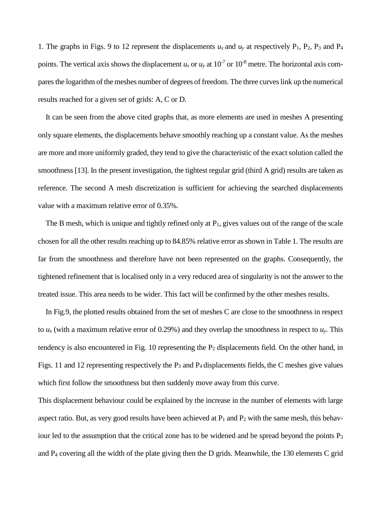1. The graphs in Figs. 9 to 12 represent the displacements  $u_x$  and  $u_y$  at respectively  $P_1$ ,  $P_2$ ,  $P_3$  and  $P_4$ points. The vertical axis shows the displacement  $u_x$  or  $u_y$  at 10<sup>-7</sup> or 10<sup>-8</sup> metre. The horizontal axis compares the logarithm of the meshes number of degrees of freedom. The three curves link up the numerical results reached for a given set of grids: A, C or D.

It can be seen from the above cited graphs that, as more elements are used in meshes A presenting only square elements, the displacements behave smoothly reaching up a constant value. As the meshes are more and more uniformly graded, they tend to give the characteristic of the exact solution called the smoothness [13]. In the present investigation, the tightest regular grid (third A grid) results are taken as reference. The second A mesh discretization is sufficient for achieving the searched displacements value with a maximum relative error of 0.35%.

The B mesh, which is unique and tightly refined only at  $P_1$ , gives values out of the range of the scale chosen for all the other results reaching up to 84.85% relative error as shown in Table 1. The results are far from the smoothness and therefore have not been represented on the graphs. Consequently, the tightened refinement that is localised only in a very reduced area of singularity is not the answer to the treated issue. This area needs to be wider. This fact will be confirmed by the other meshes results.

In Fig.9, the plotted results obtained from the set of meshes C are close to the smoothness in respect to  $u_x$  (with a maximum relative error of 0.29%) and they overlap the smoothness in respect to  $u_y$ . This tendency is also encountered in Fig. 10 representing the  $P_2$  displacements field. On the other hand, in Figs. 11 and 12 representing respectively the  $P_3$  and  $P_4$  displacements fields, the C meshes give values which first follow the smoothness but then suddenly move away from this curve.

This displacement behaviour could be explained by the increase in the number of elements with large aspect ratio. But, as very good results have been achieved at  $P_1$  and  $P_2$  with the same mesh, this behaviour led to the assumption that the critical zone has to be widened and be spread beyond the points  $P_3$ and P<sup>4</sup> covering all the width of the plate giving then the D grids. Meanwhile, the 130 elements C grid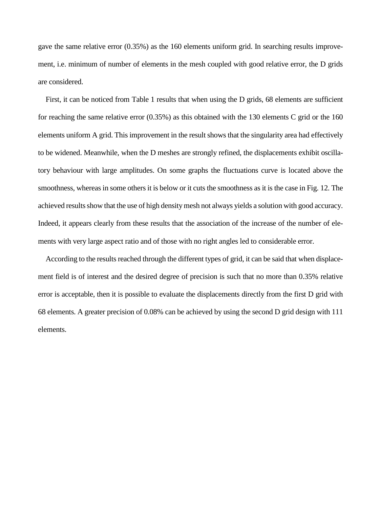gave the same relative error (0.35%) as the 160 elements uniform grid. In searching results improvement, i.e. minimum of number of elements in the mesh coupled with good relative error, the D grids are considered.

First, it can be noticed from Table 1 results that when using the D grids, 68 elements are sufficient for reaching the same relative error (0.35%) as this obtained with the 130 elements C grid or the 160 elements uniform A grid. This improvement in the result shows that the singularity area had effectively to be widened. Meanwhile, when the D meshes are strongly refined, the displacements exhibit oscillatory behaviour with large amplitudes. On some graphs the fluctuations curve is located above the smoothness, whereas in some others it is below or it cuts the smoothness as it is the case in Fig. 12. The achieved results show that the use of high density mesh not always yields a solution with good accuracy. Indeed, it appears clearly from these results that the association of the increase of the number of elements with very large aspect ratio and of those with no right angles led to considerable error.

According to the results reached through the different types of grid, it can be said that when displacement field is of interest and the desired degree of precision is such that no more than 0.35% relative error is acceptable, then it is possible to evaluate the displacements directly from the first D grid with 68 elements. A greater precision of 0.08% can be achieved by using the second D grid design with 111 elements.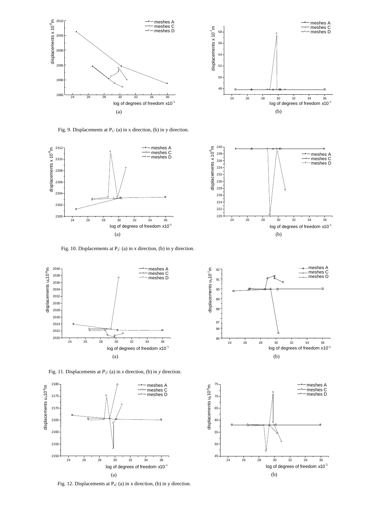



Fig. 9. Displacements at  $P_1$ : (a) in x direction, (b) in y direction.





Fig. 10. Displacements at P2: (a) in x direction, (b) in y direction.



Fig. 11. Displacements at *P*3: (a) in *x* direction, (b) in *y* direction.



Fig. 12. Displacements at P4: (a) in x direction, (b) in y direction.



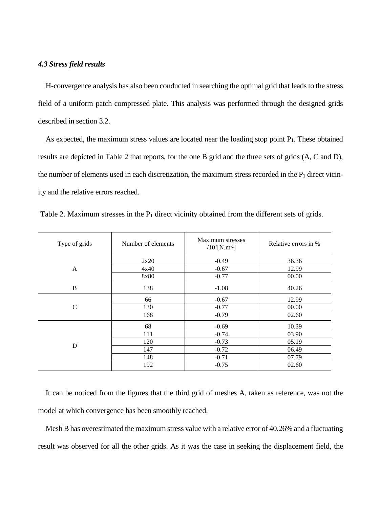## *4.3 Stress field results*

H-convergence analysis has also been conducted in searching the optimal grid that leads to the stress field of a uniform patch compressed plate. This analysis was performed through the designed grids described in section 3.2.

As expected, the maximum stress values are located near the loading stop point  $P_1$ . These obtained results are depicted in Table 2 that reports, for the one B grid and the three sets of grids (A, C and D), the number of elements used in each discretization, the maximum stress recorded in the  $P_1$  direct vicinity and the relative errors reached.

| Type of grids | Number of elements | Maximum stresses<br>$/10^{7}$ [N.m <sup>-2</sup> ] | Relative errors in % |
|---------------|--------------------|----------------------------------------------------|----------------------|
|               | 2x20               | $-0.49$                                            | 36.36                |
| A             | 4x40               | $-0.67$                                            | 12.99                |
|               | 8x80               | $-0.77$                                            | 00.00                |
| B             | 138                | $-1.08$                                            | 40.26                |
|               | 66                 | $-0.67$                                            | 12.99                |
| $\mathcal{C}$ | 130                | $-0.77$                                            | 00.00                |
|               | 168                | $-0.79$                                            | 02.60                |
|               | 68                 | $-0.69$                                            | 10.39                |
|               | 111                | $-0.74$                                            | 03.90                |
| D             | 120                | $-0.73$                                            | 05.19                |
|               | 147                | $-0.72$                                            | 06.49                |
|               | 148                | $-0.71$                                            | 07.79                |
|               | 192                | $-0.75$                                            | 02.60                |

Table 2. Maximum stresses in the  $P_1$  direct vicinity obtained from the different sets of grids.

It can be noticed from the figures that the third grid of meshes A, taken as reference, was not the model at which convergence has been smoothly reached.

Mesh B has overestimated the maximum stress value with a relative error of 40.26% and a fluctuating result was observed for all the other grids. As it was the case in seeking the displacement field, the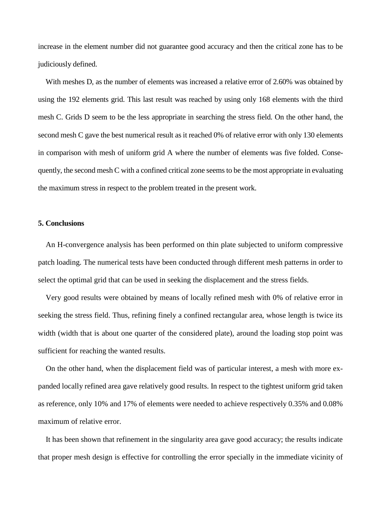increase in the element number did not guarantee good accuracy and then the critical zone has to be judiciously defined.

With meshes D, as the number of elements was increased a relative error of 2.60% was obtained by using the 192 elements grid. This last result was reached by using only 168 elements with the third mesh C. Grids D seem to be the less appropriate in searching the stress field. On the other hand, the second mesh C gave the best numerical result as it reached 0% of relative error with only 130 elements in comparison with mesh of uniform grid A where the number of elements was five folded. Consequently, the second mesh C with a confined critical zone seems to be the most appropriate in evaluating the maximum stress in respect to the problem treated in the present work.

#### **5. Conclusions**

An H-convergence analysis has been performed on thin plate subjected to uniform compressive patch loading. The numerical tests have been conducted through different mesh patterns in order to select the optimal grid that can be used in seeking the displacement and the stress fields.

Very good results were obtained by means of locally refined mesh with 0% of relative error in seeking the stress field. Thus, refining finely a confined rectangular area, whose length is twice its width (width that is about one quarter of the considered plate), around the loading stop point was sufficient for reaching the wanted results.

On the other hand, when the displacement field was of particular interest, a mesh with more expanded locally refined area gave relatively good results. In respect to the tightest uniform grid taken as reference, only 10% and 17% of elements were needed to achieve respectively 0.35% and 0.08% maximum of relative error.

It has been shown that refinement in the singularity area gave good accuracy; the results indicate that proper mesh design is effective for controlling the error specially in the immediate vicinity of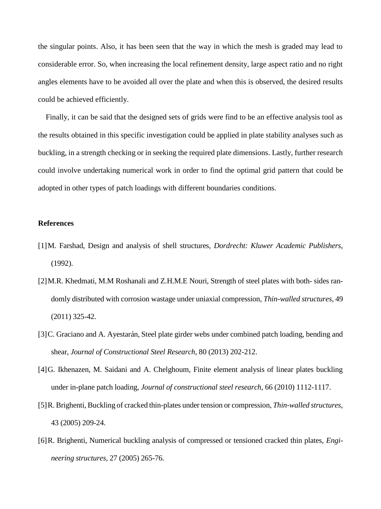the singular points. Also, it has been seen that the way in which the mesh is graded may lead to considerable error. So, when increasing the local refinement density, large aspect ratio and no right angles elements have to be avoided all over the plate and when this is observed, the desired results could be achieved efficiently.

Finally, it can be said that the designed sets of grids were find to be an effective analysis tool as the results obtained in this specific investigation could be applied in plate stability analyses such as buckling, in a strength checking or in seeking the required plate dimensions. Lastly, further research could involve undertaking numerical work in order to find the optimal grid pattern that could be adopted in other types of patch loadings with different boundaries conditions.

#### **References**

- [1]M. Farshad, Design and analysis of shell structures, *Dordrecht: Kluwer Academic Publishers*, (1992).
- [2]M.R. Khedmati, M.M Roshanali and Z.H.M.E Nouri, Strength of steel plates with both- sides randomly distributed with corrosion wastage under uniaxial compression, *Thin-walled structures*, 49 (2011) 325-42.
- [3]C. Graciano and A. Ayestarán, Steel plate girder webs under combined patch loading, bending and shear, *Journal of Constructional Steel Research*, 80 (2013) 202-212.
- [4]G. Ikhenazen, M. Saidani and A. Chelghoum, Finite element analysis of linear plates buckling under in-plane patch loading, *Journal of constructional steel research*, 66 (2010) 1112-1117.
- [5]R. Brighenti, Buckling of cracked thin-plates under tension or compression, *Thin-walled structures*, 43 (2005) 209-24.
- [6]R. Brighenti, Numerical buckling analysis of compressed or tensioned cracked thin plates, *Engineering structures*, 27 (2005) 265-76.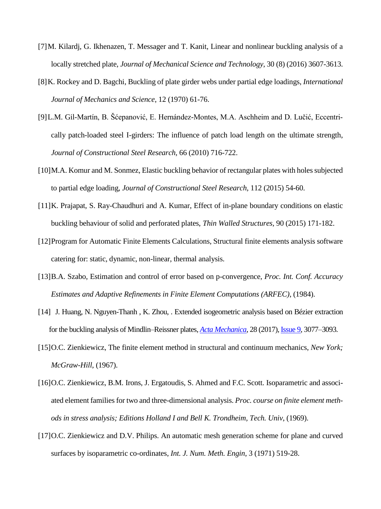- [7]M. Kilardj, G. Ikhenazen, T. Messager and T. Kanit, Linear and nonlinear buckling analysis of a locally stretched plate, *Journal of Mechanical Science and Technology*, 30 (8) (2016) 3607-3613.
- [8]K. Rockey and D. Bagchi, Buckling of plate girder webs under partial edge loadings, *International Journal of Mechanics and Science*, 12 (1970) 61-76.
- [9]L.M. Gil-Martín, B. Šćepanović, E. Hernández-Montes, M.A. Aschheim and D. Lučić, Eccentrically patch-loaded steel I-girders: The influence of patch load length on the ultimate strength, *Journal of Constructional Steel Research*, 66 (2010) 716-722.
- [10]M.A. Komur and M. Sonmez, Elastic buckling behavior of rectangular plates with holes subjected to partial edge loading, *Journal of Constructional Steel Research*, 112 (2015) 54-60.
- [11]K. Prajapat, S. Ray-Chaudhuri and A. Kumar, Effect of in-plane boundary conditions on elastic buckling behaviour of solid and perforated plates, *Thin Walled Structures*, 90 (2015) 171-182.
- [12]Program for Automatic Finite Elements Calculations, Structural finite elements analysis software catering for: static, dynamic, non-linear, thermal analysis.
- [13]B.A. Szabo, Estimation and control of error based on p-convergence, *Proc. Int. Conf. Accuracy Estimates and Adaptive Refinements in Finite Element Computations (ARFEC)*, (1984).
- [14] J. Huang, N. Nguyen-Thanh, K. Zhou, . Extended isogeometric analysis based on Bézier extraction for the buckling analysis of Mindlin–Reissner plates, *[Acta Mechanica](https://link.springer.com/journal/707)*, 28 (2017)[, Issue 9,](https://link.springer.com/journal/707/228/9/page/1) 3077–3093.
- [15]O.C. Zienkiewicz, The finite element method in structural and continuum mechanics, *New York; McGraw-Hill*, (1967).
- [16] O.C. Zienkiewicz, B.M. Irons, J. Ergatoudis, S. Ahmed and F.C. Scott. Isoparametric and associated element families for two and three-dimensional analysis. *Proc. course on finite element methods in stress analysis; Editions Holland I and Bell K. Trondheim, Tech. Univ*, (1969).
- [17]O.C. Zienkiewicz and D.V. Philips. An automatic mesh generation scheme for plane and curved surfaces by isoparametric co-ordinates, *Int. J. Num. Meth. Engin*, 3 (1971) 519-28.